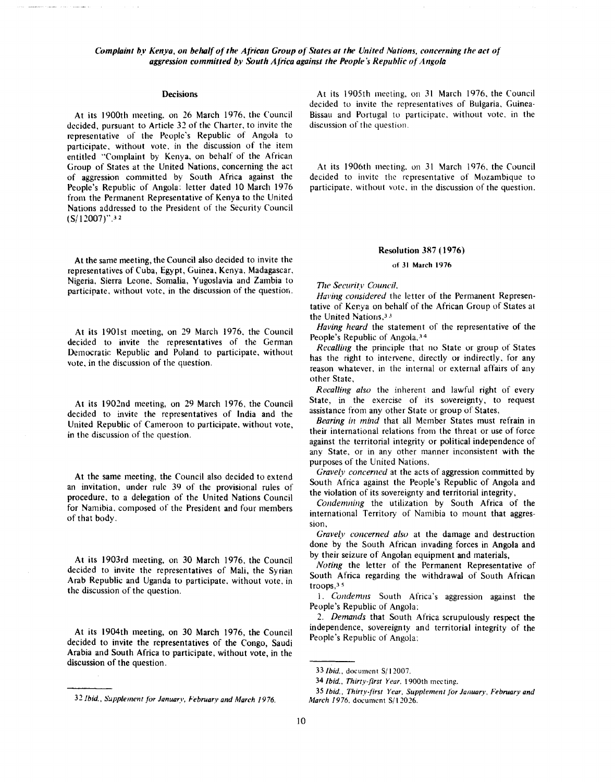### **Decisions**

At its 1900th meeting. on 26 March 1976. the Council decided, pursuant to Article 32 of the Charter, to invite the representative of the People's Republic of Angola to participate, without vote, in the discussion of the item entitled "Complaint by Kenya, on behalf of the African Group of States at the United Nations, concerning the act of aggression committed by South Africa against the People's Republic of Angola: letter dated 10 March 1976 from the Permanent Representative of Kenya to the United Nations addressed to the President of the Security Council (S/12007)".<sup>32</sup>

At the same meeting, the Council also decided to invite the representatives of Cuba, Egypt, Guinea, Kenya, Madagascar. Nigeria, Sierra Leone, Somalia, Yugoslavia and Zambia to participate, without vote, in the discussion of the questior,.

At its 1901st meeting, on 29 March 1976, the Council decided to invite the representatives of the German Democratic Republic and Poland to participate, without vote, in the discussion of the question.

At its 1902nd meeting, on 29 March 1976, the Council decided to invite the representatives of India and the United Republic of Cameroon to participate, without vote, in the discussion of the question.

At the same meeting, the Council also decided to extend an invitation, under rule 39 of the provisional rules of procedure, to a delegation of the United Nations Council for Namibia. composed of the President and four members of that body.

At its 1903rd meeting, on 30 March 1976, the Council decided to invite the representatives of Mali, the Syrian Arab Republic and Uganda to participate, without vote, in the discussion of the question.

At its 1904th meeting, on 30 March 1976, the Council decided to invite the representatives of the Congo, Saudi Arabia and South Africa to participate, without vote, in the discussion of the question.

At its I 905th meeting, on 31 March 1976, the Council decided to invite the representatives of Bulgaria, Guinea-Bissau and Portugal to participate, without vote, in the discussion of the question.

At its 1906th meeting, on 31 March 1976, the Council decided to invite the representative of Mozambique to participate, without vote, in the discussion of the question.

#### **Resolution 387 (1976)**

of 31 March 1976

771e *Security Council,* 

Having considered the letter of the Permanent Representative of Kenya on behalf of the African Group of States at the United Nations, 33

*Having heard* the statement of the representative of the People's Republic of Angola, 34

*Recalling* the principle that no State or group of States has the right to intervene, directly or indirectly, for any reason whatever, in the internal or external affairs of any other State,

*Recalling also* the inherent and lawful right of every State, in the exercise of its sovereignty, to request assistance from any other State or group of States,

*Bearing in mind* that all Member States must refrain in their international relations from the threat or use of force against the territorial integrity or political independence of any State, or in any other manner inconsistent **with** the purposes of the United Nations,

*Gravely concerned* at the acts of aggression committed by South Africa against the People's Republic of Angola and the violation of its sovereignty and territorial integrity,

*Condemning* the utilization by South Africa of the international Territory of Namibia to mount that aggression,

*Gravely concerned alsu* at the damage and destruction done by the South African invading forces in Angola and by their seizure of Angolan equipment and materials,

*Noting* the letter of the Permanent Representative of South Africa regarding the withdrawal of South African troops,3 5

I. *Condemns* South Africa's aggression against the People's Republic of Angola;

2. *Demands* that South Africa scrupulously respect the independence, sovereignty and territorial integrity of the People's Republic of Angola;

<sup>31</sup> *Ibid., Supplement Jor January, February and March 1976.* 

<sup>33</sup> *Ibid.,* document S/ 12007.

<sup>34</sup> *Ibid., Thirty-first Year.* 1900th meeting.

<sup>35</sup> *Ibid., Thirty-first Year, Supplement Jor January, February and March 1976.* document S/12026.